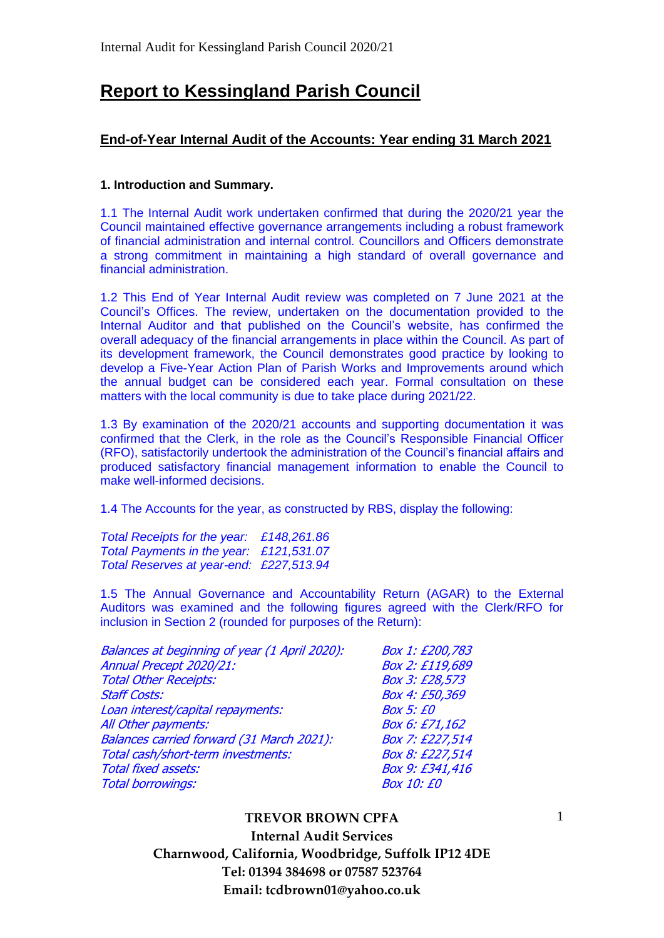# **Report to Kessingland Parish Council**

## **End-of-Year Internal Audit of the Accounts: Year ending 31 March 2021**

### **1. Introduction and Summary.**

1.1 The Internal Audit work undertaken confirmed that during the 2020/21 year the Council maintained effective governance arrangements including a robust framework of financial administration and internal control. Councillors and Officers demonstrate a strong commitment in maintaining a high standard of overall governance and financial administration.

1.2 This End of Year Internal Audit review was completed on 7 June 2021 at the Council's Offices. The review, undertaken on the documentation provided to the Internal Auditor and that published on the Council's website, has confirmed the overall adequacy of the financial arrangements in place within the Council. As part of its development framework, the Council demonstrates good practice by looking to develop a Five-Year Action Plan of Parish Works and Improvements around which the annual budget can be considered each year. Formal consultation on these matters with the local community is due to take place during 2021/22.

1.3 By examination of the 2020/21 accounts and supporting documentation it was confirmed that the Clerk, in the role as the Council's Responsible Financial Officer (RFO), satisfactorily undertook the administration of the Council's financial affairs and produced satisfactory financial management information to enable the Council to make well-informed decisions.

1.4 The Accounts for the year, as constructed by RBS, display the following:

*Total Receipts for the year: £148,261.86 Total Payments in the year: £121,531.07 Total Reserves at year-end: £227,513.94*

1.5 The Annual Governance and Accountability Return (AGAR) to the External Auditors was examined and the following figures agreed with the Clerk/RFO for inclusion in Section 2 (rounded for purposes of the Return):

| Balances at beginning of year (1 April 2020): | Box 1: £200,783   |
|-----------------------------------------------|-------------------|
| Annual Precept 2020/21:                       | Box 2: £119,689   |
| <b>Total Other Receipts:</b>                  | Box 3: £28,573    |
| <b>Staff Costs:</b>                           | Box 4: £50,369    |
| Loan interest/capital repayments:             | <b>Box 5: £0</b>  |
| All Other payments:                           | Box 6: £71,162    |
| Balances carried forward (31 March 2021):     | Box 7: £227,514   |
| Total cash/short-term investments:            | Box 8: £227,514   |
| <b>Total fixed assets:</b>                    | Box 9: £341,416   |
| <b>Total borrowings:</b>                      | <b>Box 10: £0</b> |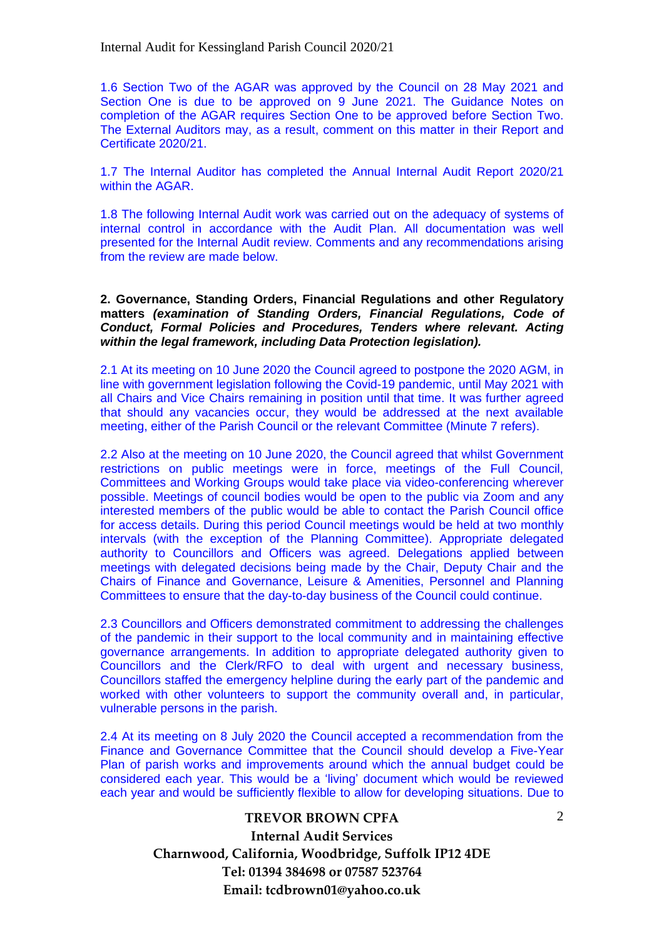1.6 Section Two of the AGAR was approved by the Council on 28 May 2021 and Section One is due to be approved on 9 June 2021. The Guidance Notes on completion of the AGAR requires Section One to be approved before Section Two. The External Auditors may, as a result, comment on this matter in their Report and Certificate 2020/21.

1.7 The Internal Auditor has completed the Annual Internal Audit Report 2020/21 within the AGAR.

1.8 The following Internal Audit work was carried out on the adequacy of systems of internal control in accordance with the Audit Plan. All documentation was well presented for the Internal Audit review. Comments and any recommendations arising from the review are made below.

#### **2. Governance, Standing Orders, Financial Regulations and other Regulatory matters** *(examination of Standing Orders, Financial Regulations, Code of Conduct, Formal Policies and Procedures, Tenders where relevant. Acting within the legal framework, including Data Protection legislation).*

2.1 At its meeting on 10 June 2020 the Council agreed to postpone the 2020 AGM, in line with government legislation following the Covid-19 pandemic, until May 2021 with all Chairs and Vice Chairs remaining in position until that time. It was further agreed that should any vacancies occur, they would be addressed at the next available meeting, either of the Parish Council or the relevant Committee (Minute 7 refers).

2.2 Also at the meeting on 10 June 2020, the Council agreed that whilst Government restrictions on public meetings were in force, meetings of the Full Council, Committees and Working Groups would take place via video-conferencing wherever possible. Meetings of council bodies would be open to the public via Zoom and any interested members of the public would be able to contact the Parish Council office for access details. During this period Council meetings would be held at two monthly intervals (with the exception of the Planning Committee). Appropriate delegated authority to Councillors and Officers was agreed. Delegations applied between meetings with delegated decisions being made by the Chair, Deputy Chair and the Chairs of Finance and Governance, Leisure & Amenities, Personnel and Planning Committees to ensure that the day-to-day business of the Council could continue.

2.3 Councillors and Officers demonstrated commitment to addressing the challenges of the pandemic in their support to the local community and in maintaining effective governance arrangements. In addition to appropriate delegated authority given to Councillors and the Clerk/RFO to deal with urgent and necessary business, Councillors staffed the emergency helpline during the early part of the pandemic and worked with other volunteers to support the community overall and, in particular, vulnerable persons in the parish.

2.4 At its meeting on 8 July 2020 the Council accepted a recommendation from the Finance and Governance Committee that the Council should develop a Five-Year Plan of parish works and improvements around which the annual budget could be considered each year. This would be a 'living' document which would be reviewed each year and would be sufficiently flexible to allow for developing situations. Due to

### **TREVOR BROWN CPFA**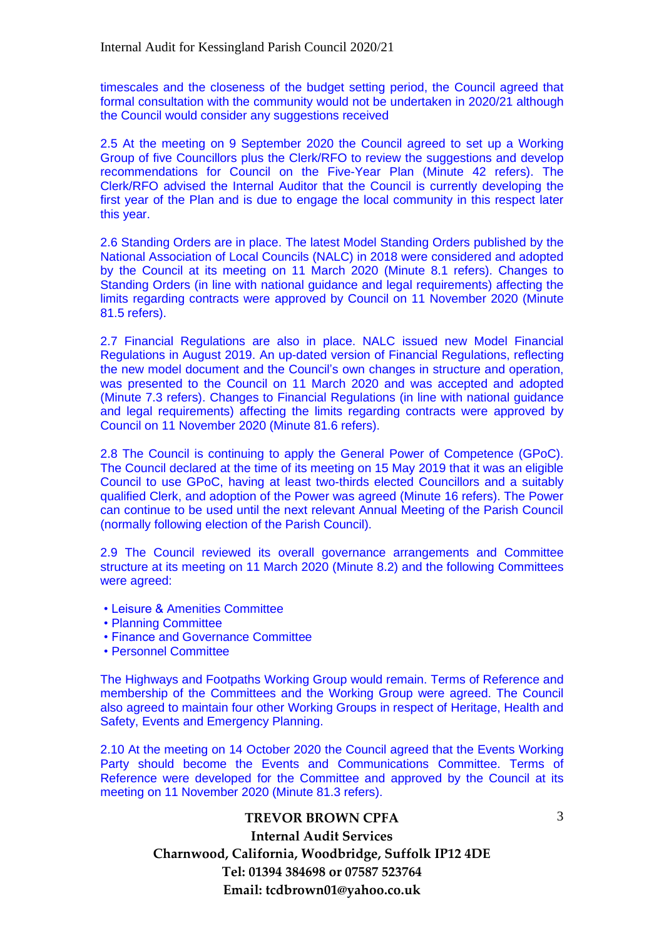timescales and the closeness of the budget setting period, the Council agreed that formal consultation with the community would not be undertaken in 2020/21 although the Council would consider any suggestions received

2.5 At the meeting on 9 September 2020 the Council agreed to set up a Working Group of five Councillors plus the Clerk/RFO to review the suggestions and develop recommendations for Council on the Five-Year Plan (Minute 42 refers). The Clerk/RFO advised the Internal Auditor that the Council is currently developing the first year of the Plan and is due to engage the local community in this respect later this year.

2.6 Standing Orders are in place. The latest Model Standing Orders published by the National Association of Local Councils (NALC) in 2018 were considered and adopted by the Council at its meeting on 11 March 2020 (Minute 8.1 refers). Changes to Standing Orders (in line with national guidance and legal requirements) affecting the limits regarding contracts were approved by Council on 11 November 2020 (Minute 81.5 refers).

2.7 Financial Regulations are also in place. NALC issued new Model Financial Regulations in August 2019. An up-dated version of Financial Regulations, reflecting the new model document and the Council's own changes in structure and operation, was presented to the Council on 11 March 2020 and was accepted and adopted (Minute 7.3 refers). Changes to Financial Regulations (in line with national guidance and legal requirements) affecting the limits regarding contracts were approved by Council on 11 November 2020 (Minute 81.6 refers).

2.8 The Council is continuing to apply the General Power of Competence (GPoC). The Council declared at the time of its meeting on 15 May 2019 that it was an eligible Council to use GPoC, having at least two-thirds elected Councillors and a suitably qualified Clerk, and adoption of the Power was agreed (Minute 16 refers). The Power can continue to be used until the next relevant Annual Meeting of the Parish Council (normally following election of the Parish Council).

2.9 The Council reviewed its overall governance arrangements and Committee structure at its meeting on 11 March 2020 (Minute 8.2) and the following Committees were agreed:

- Leisure & Amenities Committee
- Planning Committee
- Finance and Governance Committee
- Personnel Committee

The Highways and Footpaths Working Group would remain. Terms of Reference and membership of the Committees and the Working Group were agreed. The Council also agreed to maintain four other Working Groups in respect of Heritage, Health and Safety, Events and Emergency Planning.

2.10 At the meeting on 14 October 2020 the Council agreed that the Events Working Party should become the Events and Communications Committee. Terms of Reference were developed for the Committee and approved by the Council at its meeting on 11 November 2020 (Minute 81.3 refers).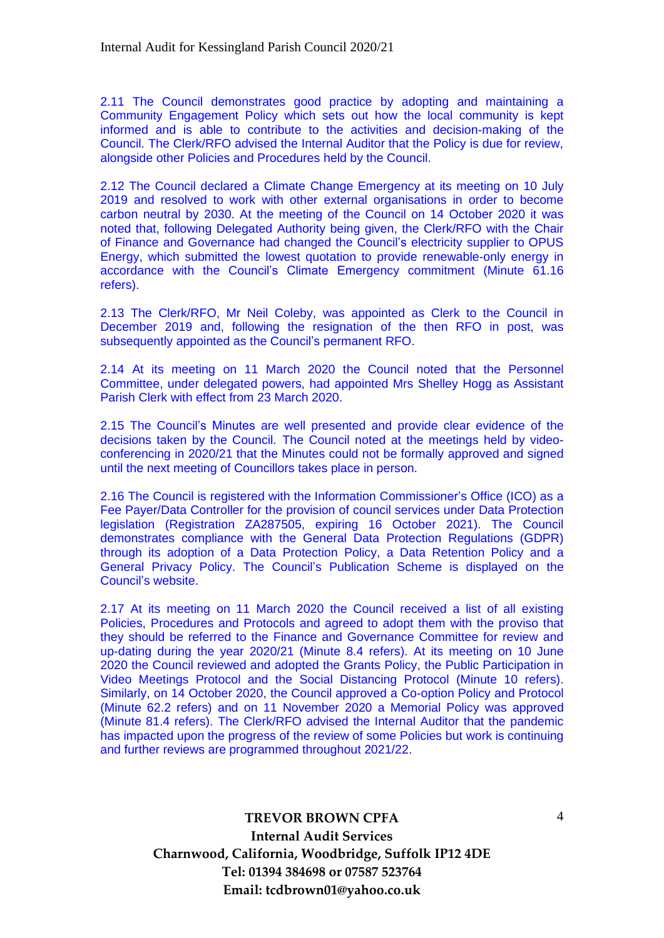2.11 The Council demonstrates good practice by adopting and maintaining a Community Engagement Policy which sets out how the local community is kept informed and is able to contribute to the activities and decision-making of the Council. The Clerk/RFO advised the Internal Auditor that the Policy is due for review, alongside other Policies and Procedures held by the Council.

2.12 The Council declared a Climate Change Emergency at its meeting on 10 July 2019 and resolved to work with other external organisations in order to become carbon neutral by 2030. At the meeting of the Council on 14 October 2020 it was noted that, following Delegated Authority being given, the Clerk/RFO with the Chair of Finance and Governance had changed the Council's electricity supplier to OPUS Energy, which submitted the lowest quotation to provide renewable-only energy in accordance with the Council's Climate Emergency commitment (Minute 61.16 refers).

2.13 The Clerk/RFO, Mr Neil Coleby, was appointed as Clerk to the Council in December 2019 and, following the resignation of the then RFO in post, was subsequently appointed as the Council's permanent RFO.

2.14 At its meeting on 11 March 2020 the Council noted that the Personnel Committee, under delegated powers, had appointed Mrs Shelley Hogg as Assistant Parish Clerk with effect from 23 March 2020.

2.15 The Council's Minutes are well presented and provide clear evidence of the decisions taken by the Council. The Council noted at the meetings held by videoconferencing in 2020/21 that the Minutes could not be formally approved and signed until the next meeting of Councillors takes place in person.

2.16 The Council is registered with the Information Commissioner's Office (ICO) as a Fee Payer/Data Controller for the provision of council services under Data Protection legislation (Registration ZA287505, expiring 16 October 2021). The Council demonstrates compliance with the General Data Protection Regulations (GDPR) through its adoption of a Data Protection Policy, a Data Retention Policy and a General Privacy Policy. The Council's Publication Scheme is displayed on the Council's website.

2.17 At its meeting on 11 March 2020 the Council received a list of all existing Policies, Procedures and Protocols and agreed to adopt them with the proviso that they should be referred to the Finance and Governance Committee for review and up-dating during the year 2020/21 (Minute 8.4 refers). At its meeting on 10 June 2020 the Council reviewed and adopted the Grants Policy, the Public Participation in Video Meetings Protocol and the Social Distancing Protocol (Minute 10 refers). Similarly, on 14 October 2020, the Council approved a Co-option Policy and Protocol (Minute 62.2 refers) and on 11 November 2020 a Memorial Policy was approved (Minute 81.4 refers). The Clerk/RFO advised the Internal Auditor that the pandemic has impacted upon the progress of the review of some Policies but work is continuing and further reviews are programmed throughout 2021/22.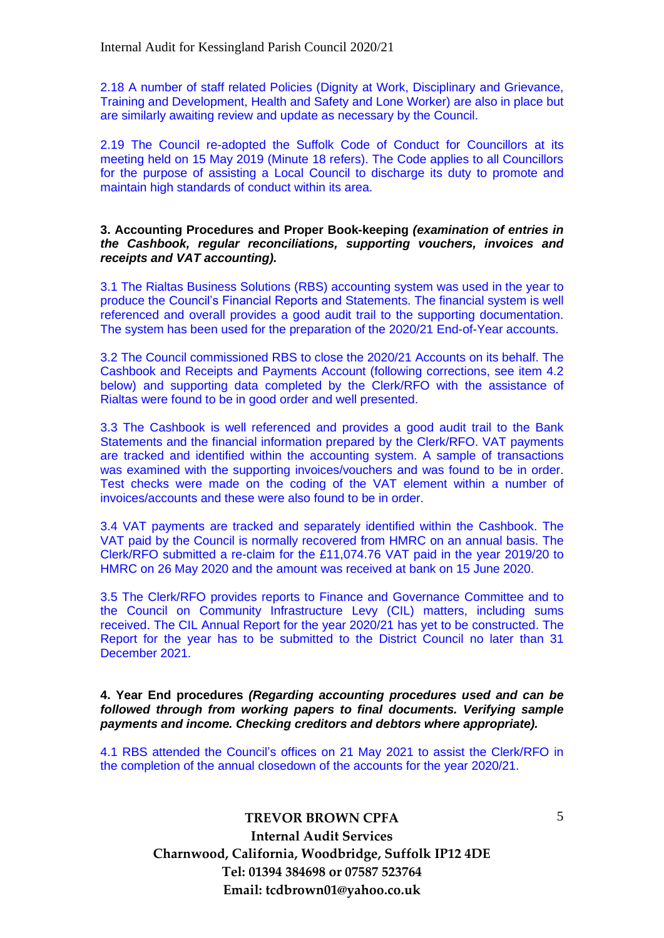2.18 A number of staff related Policies (Dignity at Work, Disciplinary and Grievance, Training and Development, Health and Safety and Lone Worker) are also in place but are similarly awaiting review and update as necessary by the Council.

2.19 The Council re-adopted the Suffolk Code of Conduct for Councillors at its meeting held on 15 May 2019 (Minute 18 refers). The Code applies to all Councillors for the purpose of assisting a Local Council to discharge its duty to promote and maintain high standards of conduct within its area.

#### **3. Accounting Procedures and Proper Book-keeping** *(examination of entries in the Cashbook, regular reconciliations, supporting vouchers, invoices and receipts and VAT accounting).*

3.1 The Rialtas Business Solutions (RBS) accounting system was used in the year to produce the Council's Financial Reports and Statements. The financial system is well referenced and overall provides a good audit trail to the supporting documentation. The system has been used for the preparation of the 2020/21 End-of-Year accounts.

3.2 The Council commissioned RBS to close the 2020/21 Accounts on its behalf. The Cashbook and Receipts and Payments Account (following corrections, see item 4.2 below) and supporting data completed by the Clerk/RFO with the assistance of Rialtas were found to be in good order and well presented.

3.3 The Cashbook is well referenced and provides a good audit trail to the Bank Statements and the financial information prepared by the Clerk/RFO. VAT payments are tracked and identified within the accounting system. A sample of transactions was examined with the supporting invoices/vouchers and was found to be in order. Test checks were made on the coding of the VAT element within a number of invoices/accounts and these were also found to be in order.

3.4 VAT payments are tracked and separately identified within the Cashbook. The VAT paid by the Council is normally recovered from HMRC on an annual basis. The Clerk/RFO submitted a re-claim for the £11,074.76 VAT paid in the year 2019/20 to HMRC on 26 May 2020 and the amount was received at bank on 15 June 2020.

3.5 The Clerk/RFO provides reports to Finance and Governance Committee and to the Council on Community Infrastructure Levy (CIL) matters, including sums received. The CIL Annual Report for the year 2020/21 has yet to be constructed. The Report for the year has to be submitted to the District Council no later than 31 December 2021.

**4. Year End procedures** *(Regarding accounting procedures used and can be followed through from working papers to final documents. Verifying sample payments and income. Checking creditors and debtors where appropriate).*

4.1 RBS attended the Council's offices on 21 May 2021 to assist the Clerk/RFO in the completion of the annual closedown of the accounts for the year 2020/21.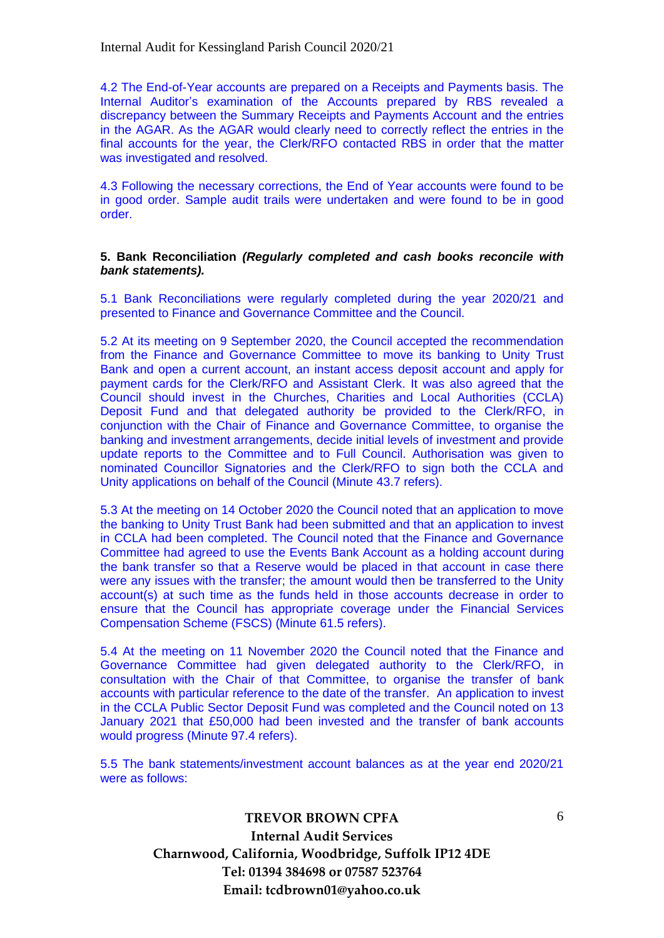4.2 The End-of-Year accounts are prepared on a Receipts and Payments basis. The Internal Auditor's examination of the Accounts prepared by RBS revealed a discrepancy between the Summary Receipts and Payments Account and the entries in the AGAR. As the AGAR would clearly need to correctly reflect the entries in the final accounts for the year, the Clerk/RFO contacted RBS in order that the matter was investigated and resolved.

4.3 Following the necessary corrections, the End of Year accounts were found to be in good order. Sample audit trails were undertaken and were found to be in good order.

#### **5. Bank Reconciliation** *(Regularly completed and cash books reconcile with bank statements).*

5.1 Bank Reconciliations were regularly completed during the year 2020/21 and presented to Finance and Governance Committee and the Council.

5.2 At its meeting on 9 September 2020, the Council accepted the recommendation from the Finance and Governance Committee to move its banking to Unity Trust Bank and open a current account, an instant access deposit account and apply for payment cards for the Clerk/RFO and Assistant Clerk. It was also agreed that the Council should invest in the Churches, Charities and Local Authorities (CCLA) Deposit Fund and that delegated authority be provided to the Clerk/RFO, in conjunction with the Chair of Finance and Governance Committee, to organise the banking and investment arrangements, decide initial levels of investment and provide update reports to the Committee and to Full Council. Authorisation was given to nominated Councillor Signatories and the Clerk/RFO to sign both the CCLA and Unity applications on behalf of the Council (Minute 43.7 refers).

5.3 At the meeting on 14 October 2020 the Council noted that an application to move the banking to Unity Trust Bank had been submitted and that an application to invest in CCLA had been completed. The Council noted that the Finance and Governance Committee had agreed to use the Events Bank Account as a holding account during the bank transfer so that a Reserve would be placed in that account in case there were any issues with the transfer; the amount would then be transferred to the Unity account(s) at such time as the funds held in those accounts decrease in order to ensure that the Council has appropriate coverage under the Financial Services Compensation Scheme (FSCS) (Minute 61.5 refers).

5.4 At the meeting on 11 November 2020 the Council noted that the Finance and Governance Committee had given delegated authority to the Clerk/RFO, in consultation with the Chair of that Committee, to organise the transfer of bank accounts with particular reference to the date of the transfer. An application to invest in the CCLA Public Sector Deposit Fund was completed and the Council noted on 13 January 2021 that £50,000 had been invested and the transfer of bank accounts would progress (Minute 97.4 refers).

5.5 The bank statements/investment account balances as at the year end 2020/21 were as follows: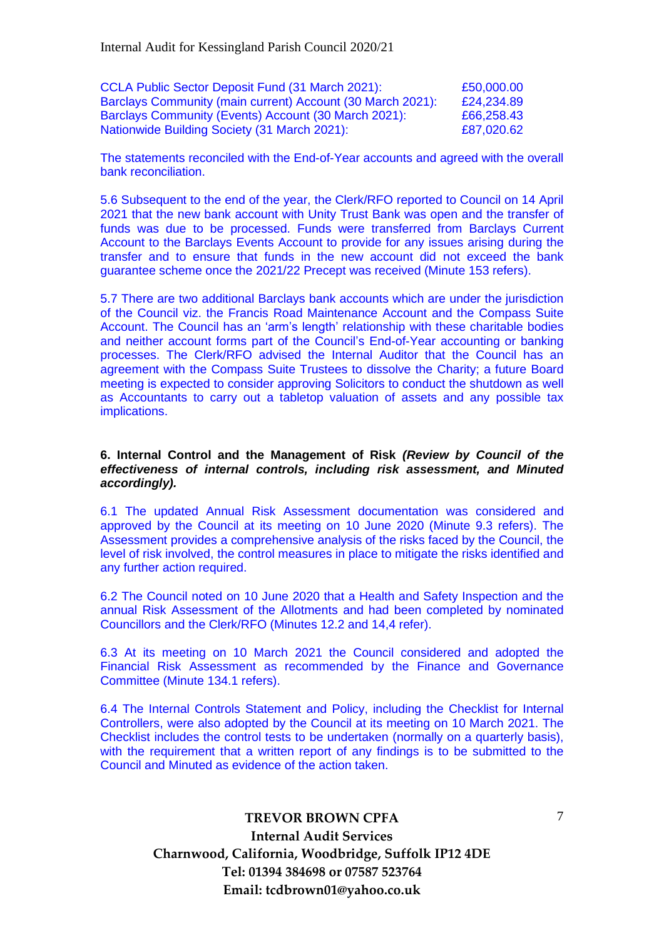| <b>CCLA Public Sector Deposit Fund (31 March 2021):</b>    | £50,000.00 |
|------------------------------------------------------------|------------|
| Barclays Community (main current) Account (30 March 2021): | £24,234.89 |
| Barclays Community (Events) Account (30 March 2021):       | £66,258.43 |
| Nationwide Building Society (31 March 2021):               | £87,020.62 |

The statements reconciled with the End-of-Year accounts and agreed with the overall bank reconciliation.

5.6 Subsequent to the end of the year, the Clerk/RFO reported to Council on 14 April 2021 that the new bank account with Unity Trust Bank was open and the transfer of funds was due to be processed. Funds were transferred from Barclays Current Account to the Barclays Events Account to provide for any issues arising during the transfer and to ensure that funds in the new account did not exceed the bank guarantee scheme once the 2021/22 Precept was received (Minute 153 refers).

5.7 There are two additional Barclays bank accounts which are under the jurisdiction of the Council viz. the Francis Road Maintenance Account and the Compass Suite Account. The Council has an 'arm's length' relationship with these charitable bodies and neither account forms part of the Council's End-of-Year accounting or banking processes. The Clerk/RFO advised the Internal Auditor that the Council has an agreement with the Compass Suite Trustees to dissolve the Charity; a future Board meeting is expected to consider approving Solicitors to conduct the shutdown as well as Accountants to carry out a tabletop valuation of assets and any possible tax implications.

#### **6. Internal Control and the Management of Risk** *(Review by Council of the effectiveness of internal controls, including risk assessment, and Minuted accordingly).*

6.1 The updated Annual Risk Assessment documentation was considered and approved by the Council at its meeting on 10 June 2020 (Minute 9.3 refers). The Assessment provides a comprehensive analysis of the risks faced by the Council, the level of risk involved, the control measures in place to mitigate the risks identified and any further action required.

6.2 The Council noted on 10 June 2020 that a Health and Safety Inspection and the annual Risk Assessment of the Allotments and had been completed by nominated Councillors and the Clerk/RFO (Minutes 12.2 and 14,4 refer).

6.3 At its meeting on 10 March 2021 the Council considered and adopted the Financial Risk Assessment as recommended by the Finance and Governance Committee (Minute 134.1 refers).

6.4 The Internal Controls Statement and Policy, including the Checklist for Internal Controllers, were also adopted by the Council at its meeting on 10 March 2021. The Checklist includes the control tests to be undertaken (normally on a quarterly basis), with the requirement that a written report of any findings is to be submitted to the Council and Minuted as evidence of the action taken.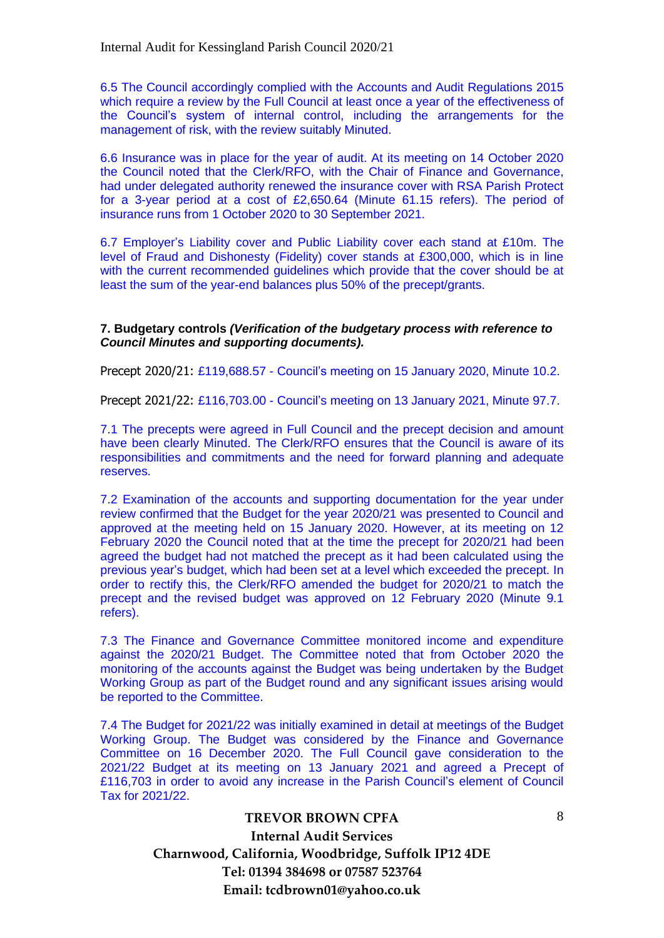6.5 The Council accordingly complied with the Accounts and Audit Regulations 2015 which require a review by the Full Council at least once a year of the effectiveness of the Council's system of internal control, including the arrangements for the management of risk, with the review suitably Minuted.

6.6 Insurance was in place for the year of audit. At its meeting on 14 October 2020 the Council noted that the Clerk/RFO, with the Chair of Finance and Governance, had under delegated authority renewed the insurance cover with RSA Parish Protect for a 3-year period at a cost of £2,650.64 (Minute 61.15 refers). The period of insurance runs from 1 October 2020 to 30 September 2021.

6.7 Employer's Liability cover and Public Liability cover each stand at £10m. The level of Fraud and Dishonesty (Fidelity) cover stands at £300,000, which is in line with the current recommended guidelines which provide that the cover should be at least the sum of the year-end balances plus 50% of the precept/grants.

#### **7. Budgetary controls** *(Verification of the budgetary process with reference to Council Minutes and supporting documents).*

Precept 2020/21: £119,688.57 - Council's meeting on 15 January 2020, Minute 10.2.

Precept 2021/22: £116,703.00 - Council's meeting on 13 January 2021, Minute 97.7.

7.1 The precepts were agreed in Full Council and the precept decision and amount have been clearly Minuted. The Clerk/RFO ensures that the Council is aware of its responsibilities and commitments and the need for forward planning and adequate reserves.

7.2 Examination of the accounts and supporting documentation for the year under review confirmed that the Budget for the year 2020/21 was presented to Council and approved at the meeting held on 15 January 2020. However, at its meeting on 12 February 2020 the Council noted that at the time the precept for 2020/21 had been agreed the budget had not matched the precept as it had been calculated using the previous year's budget, which had been set at a level which exceeded the precept. In order to rectify this, the Clerk/RFO amended the budget for 2020/21 to match the precept and the revised budget was approved on 12 February 2020 (Minute 9.1 refers).

7.3 The Finance and Governance Committee monitored income and expenditure against the 2020/21 Budget. The Committee noted that from October 2020 the monitoring of the accounts against the Budget was being undertaken by the Budget Working Group as part of the Budget round and any significant issues arising would be reported to the Committee.

7.4 The Budget for 2021/22 was initially examined in detail at meetings of the Budget Working Group. The Budget was considered by the Finance and Governance Committee on 16 December 2020. The Full Council gave consideration to the 2021/22 Budget at its meeting on 13 January 2021 and agreed a Precept of £116,703 in order to avoid any increase in the Parish Council's element of Council Tax for 2021/22.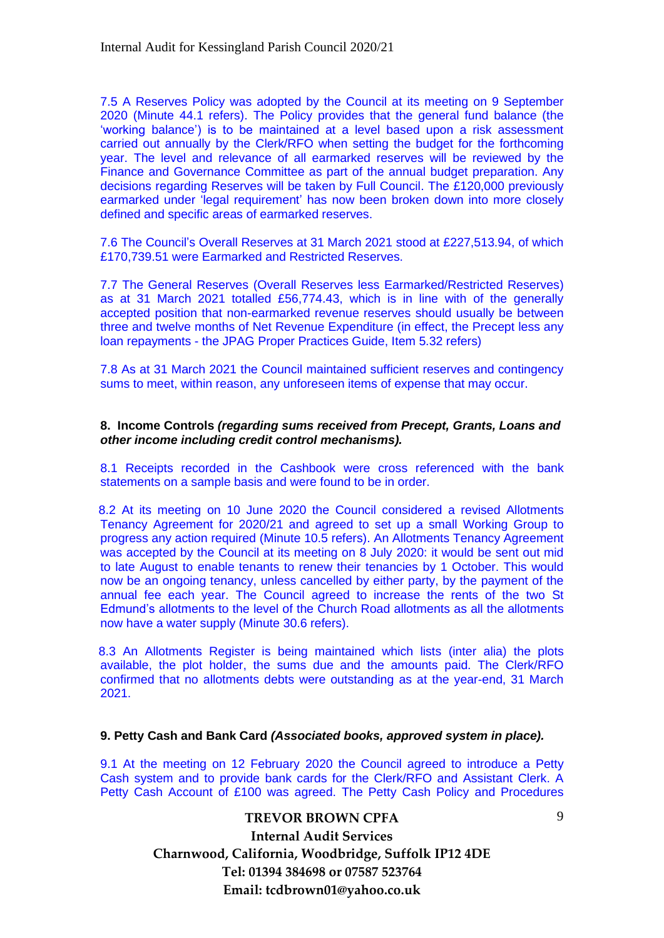7.5 A Reserves Policy was adopted by the Council at its meeting on 9 September 2020 (Minute 44.1 refers). The Policy provides that the general fund balance (the 'working balance') is to be maintained at a level based upon a risk assessment carried out annually by the Clerk/RFO when setting the budget for the forthcoming year. The level and relevance of all earmarked reserves will be reviewed by the Finance and Governance Committee as part of the annual budget preparation. Any decisions regarding Reserves will be taken by Full Council. The £120,000 previously earmarked under 'legal requirement' has now been broken down into more closely defined and specific areas of earmarked reserves.

7.6 The Council's Overall Reserves at 31 March 2021 stood at £227,513.94, of which £170,739.51 were Earmarked and Restricted Reserves.

7.7 The General Reserves (Overall Reserves less Earmarked/Restricted Reserves) as at 31 March 2021 totalled £56,774.43, which is in line with of the generally accepted position that non-earmarked revenue reserves should usually be between three and twelve months of Net Revenue Expenditure (in effect, the Precept less any loan repayments - the JPAG Proper Practices Guide, Item 5.32 refers)

7.8 As at 31 March 2021 the Council maintained sufficient reserves and contingency sums to meet, within reason, any unforeseen items of expense that may occur.

#### **8. Income Controls** *(regarding sums received from Precept, Grants, Loans and other income including credit control mechanisms).*

8.1 Receipts recorded in the Cashbook were cross referenced with the bank statements on a sample basis and were found to be in order.

8.2 At its meeting on 10 June 2020 the Council considered a revised Allotments Tenancy Agreement for 2020/21 and agreed to set up a small Working Group to progress any action required (Minute 10.5 refers). An Allotments Tenancy Agreement was accepted by the Council at its meeting on 8 July 2020: it would be sent out mid to late August to enable tenants to renew their tenancies by 1 October. This would now be an ongoing tenancy, unless cancelled by either party, by the payment of the annual fee each year. The Council agreed to increase the rents of the two St Edmund's allotments to the level of the Church Road allotments as all the allotments now have a water supply (Minute 30.6 refers).

8.3 An Allotments Register is being maintained which lists (inter alia) the plots available, the plot holder, the sums due and the amounts paid. The Clerk/RFO confirmed that no allotments debts were outstanding as at the year-end, 31 March 2021.

#### **9. Petty Cash and Bank Card** *(Associated books, approved system in place).*

9.1 At the meeting on 12 February 2020 the Council agreed to introduce a Petty Cash system and to provide bank cards for the Clerk/RFO and Assistant Clerk. A Petty Cash Account of £100 was agreed. The Petty Cash Policy and Procedures

# **TREVOR BROWN CPFA Internal Audit Services Charnwood, California, Woodbridge, Suffolk IP12 4DE Tel: 01394 384698 or 07587 523764 Email: tcdbrown01@yahoo.co.uk**

 $\mathbf{Q}$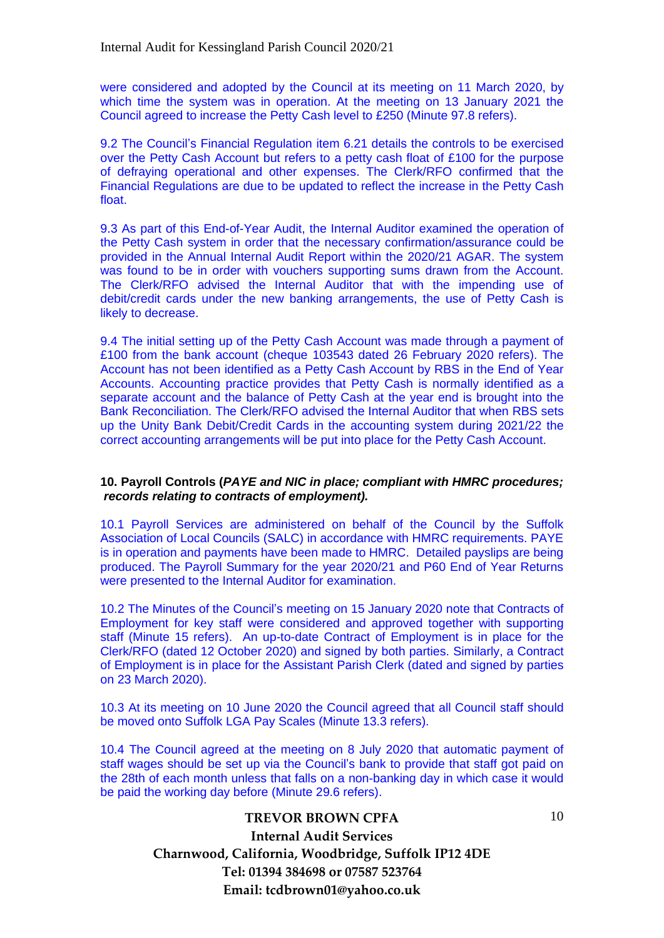were considered and adopted by the Council at its meeting on 11 March 2020, by which time the system was in operation. At the meeting on 13 January 2021 the Council agreed to increase the Petty Cash level to £250 (Minute 97.8 refers).

9.2 The Council's Financial Regulation item 6.21 details the controls to be exercised over the Petty Cash Account but refers to a petty cash float of £100 for the purpose of defraying operational and other expenses. The Clerk/RFO confirmed that the Financial Regulations are due to be updated to reflect the increase in the Petty Cash float.

9.3 As part of this End-of-Year Audit, the Internal Auditor examined the operation of the Petty Cash system in order that the necessary confirmation/assurance could be provided in the Annual Internal Audit Report within the 2020/21 AGAR. The system was found to be in order with vouchers supporting sums drawn from the Account. The Clerk/RFO advised the Internal Auditor that with the impending use of debit/credit cards under the new banking arrangements, the use of Petty Cash is likely to decrease.

9.4 The initial setting up of the Petty Cash Account was made through a payment of £100 from the bank account (cheque 103543 dated 26 February 2020 refers). The Account has not been identified as a Petty Cash Account by RBS in the End of Year Accounts. Accounting practice provides that Petty Cash is normally identified as a separate account and the balance of Petty Cash at the year end is brought into the Bank Reconciliation. The Clerk/RFO advised the Internal Auditor that when RBS sets up the Unity Bank Debit/Credit Cards in the accounting system during 2021/22 the correct accounting arrangements will be put into place for the Petty Cash Account.

#### **10. Payroll Controls (***PAYE and NIC in place; compliant with HMRC procedures; records relating to contracts of employment).*

10.1 Payroll Services are administered on behalf of the Council by the Suffolk Association of Local Councils (SALC) in accordance with HMRC requirements. PAYE is in operation and payments have been made to HMRC. Detailed payslips are being produced. The Payroll Summary for the year 2020/21 and P60 End of Year Returns were presented to the Internal Auditor for examination.

10.2 The Minutes of the Council's meeting on 15 January 2020 note that Contracts of Employment for key staff were considered and approved together with supporting staff (Minute 15 refers). An up-to-date Contract of Employment is in place for the Clerk/RFO (dated 12 October 2020) and signed by both parties. Similarly, a Contract of Employment is in place for the Assistant Parish Clerk (dated and signed by parties on 23 March 2020).

10.3 At its meeting on 10 June 2020 the Council agreed that all Council staff should be moved onto Suffolk LGA Pay Scales (Minute 13.3 refers).

10.4 The Council agreed at the meeting on 8 July 2020 that automatic payment of staff wages should be set up via the Council's bank to provide that staff got paid on the 28th of each month unless that falls on a non-banking day in which case it would be paid the working day before (Minute 29.6 refers).

10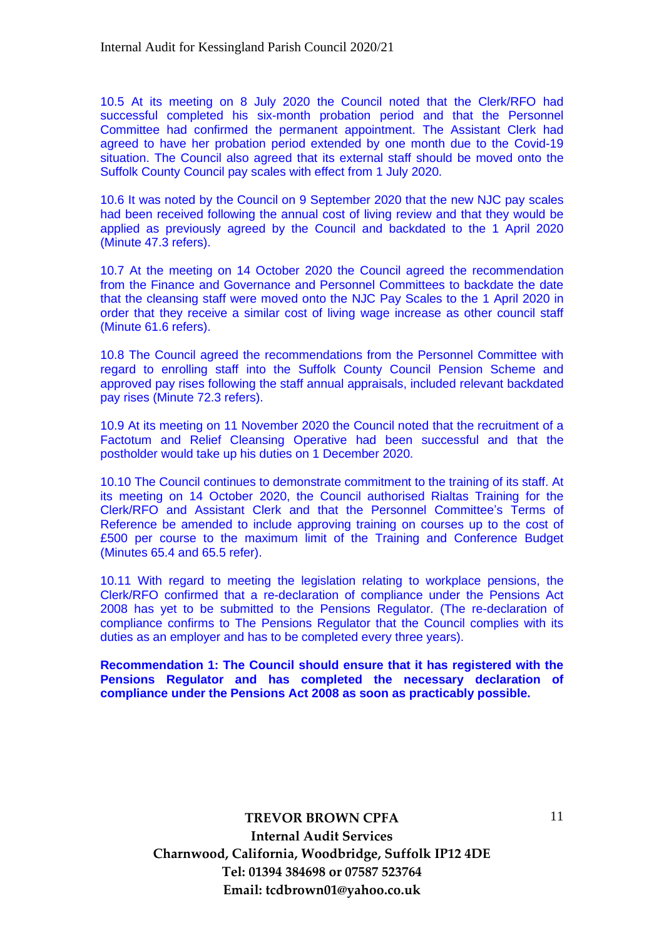10.5 At its meeting on 8 July 2020 the Council noted that the Clerk/RFO had successful completed his six-month probation period and that the Personnel Committee had confirmed the permanent appointment. The Assistant Clerk had agreed to have her probation period extended by one month due to the Covid-19 situation. The Council also agreed that its external staff should be moved onto the Suffolk County Council pay scales with effect from 1 July 2020.

10.6 It was noted by the Council on 9 September 2020 that the new NJC pay scales had been received following the annual cost of living review and that they would be applied as previously agreed by the Council and backdated to the 1 April 2020 (Minute 47.3 refers).

10.7 At the meeting on 14 October 2020 the Council agreed the recommendation from the Finance and Governance and Personnel Committees to backdate the date that the cleansing staff were moved onto the NJC Pay Scales to the 1 April 2020 in order that they receive a similar cost of living wage increase as other council staff (Minute 61.6 refers).

10.8 The Council agreed the recommendations from the Personnel Committee with regard to enrolling staff into the Suffolk County Council Pension Scheme and approved pay rises following the staff annual appraisals, included relevant backdated pay rises (Minute 72.3 refers).

10.9 At its meeting on 11 November 2020 the Council noted that the recruitment of a Factotum and Relief Cleansing Operative had been successful and that the postholder would take up his duties on 1 December 2020.

10.10 The Council continues to demonstrate commitment to the training of its staff. At its meeting on 14 October 2020, the Council authorised Rialtas Training for the Clerk/RFO and Assistant Clerk and that the Personnel Committee's Terms of Reference be amended to include approving training on courses up to the cost of £500 per course to the maximum limit of the Training and Conference Budget (Minutes 65.4 and 65.5 refer).

10.11 With regard to meeting the legislation relating to workplace pensions, the Clerk/RFO confirmed that a re-declaration of compliance under the Pensions Act 2008 has yet to be submitted to the Pensions Regulator. (The re-declaration of compliance confirms to The Pensions Regulator that the Council complies with its duties as an employer and has to be completed every three years).

**Recommendation 1: The Council should ensure that it has registered with the Pensions Regulator and has completed the necessary declaration of compliance under the Pensions Act 2008 as soon as practicably possible.**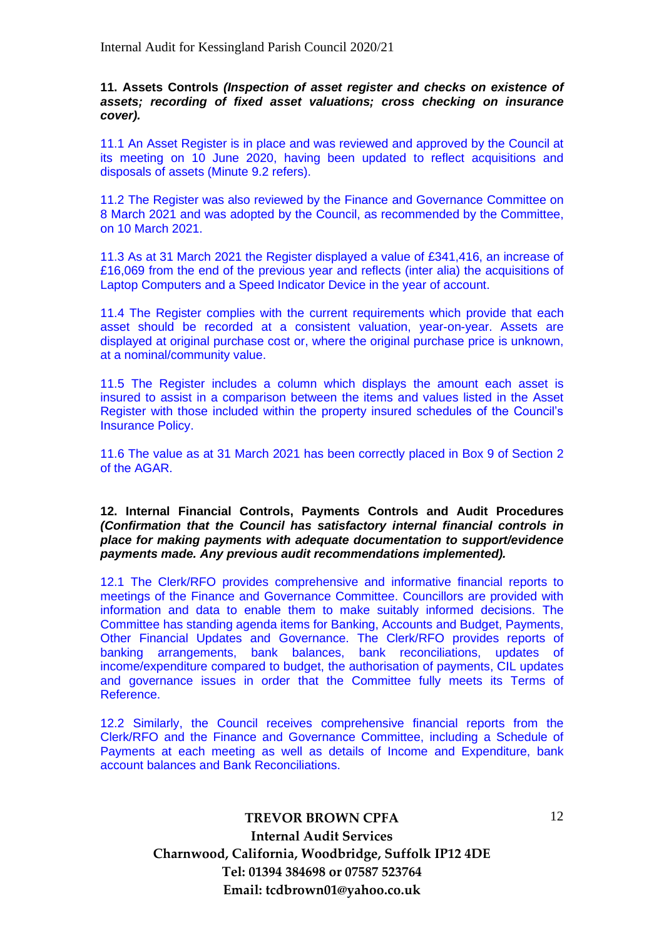**11. Assets Controls** *(Inspection of asset register and checks on existence of assets; recording of fixed asset valuations; cross checking on insurance cover).*

11.1 An Asset Register is in place and was reviewed and approved by the Council at its meeting on 10 June 2020, having been updated to reflect acquisitions and disposals of assets (Minute 9.2 refers).

11.2 The Register was also reviewed by the Finance and Governance Committee on 8 March 2021 and was adopted by the Council, as recommended by the Committee, on 10 March 2021.

11.3 As at 31 March 2021 the Register displayed a value of £341,416, an increase of £16,069 from the end of the previous year and reflects (inter alia) the acquisitions of Laptop Computers and a Speed Indicator Device in the year of account.

11.4 The Register complies with the current requirements which provide that each asset should be recorded at a consistent valuation, year-on-year. Assets are displayed at original purchase cost or, where the original purchase price is unknown, at a nominal/community value.

11.5 The Register includes a column which displays the amount each asset is insured to assist in a comparison between the items and values listed in the Asset Register with those included within the property insured schedules of the Council's Insurance Policy.

11.6 The value as at 31 March 2021 has been correctly placed in Box 9 of Section 2 of the AGAR.

**12. Internal Financial Controls, Payments Controls and Audit Procedures**  *(Confirmation that the Council has satisfactory internal financial controls in place for making payments with adequate documentation to support/evidence payments made. Any previous audit recommendations implemented).*

12.1 The Clerk/RFO provides comprehensive and informative financial reports to meetings of the Finance and Governance Committee. Councillors are provided with information and data to enable them to make suitably informed decisions. The Committee has standing agenda items for Banking, Accounts and Budget, Payments, Other Financial Updates and Governance. The Clerk/RFO provides reports of banking arrangements, bank balances, bank reconciliations, updates of income/expenditure compared to budget, the authorisation of payments, CIL updates and governance issues in order that the Committee fully meets its Terms of Reference.

12.2 Similarly, the Council receives comprehensive financial reports from the Clerk/RFO and the Finance and Governance Committee, including a Schedule of Payments at each meeting as well as details of Income and Expenditure, bank account balances and Bank Reconciliations.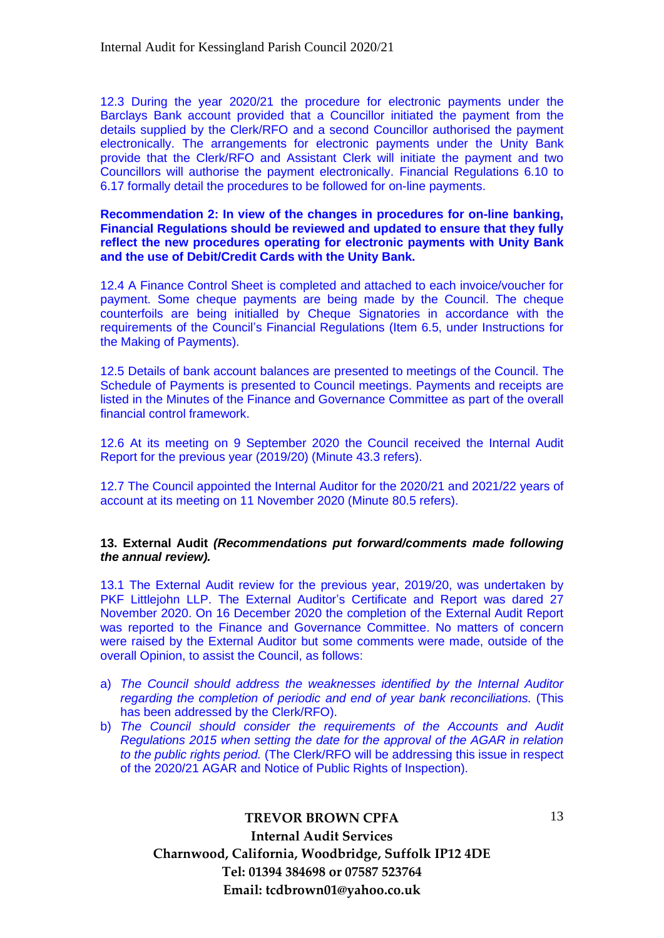12.3 During the year 2020/21 the procedure for electronic payments under the Barclays Bank account provided that a Councillor initiated the payment from the details supplied by the Clerk/RFO and a second Councillor authorised the payment electronically. The arrangements for electronic payments under the Unity Bank provide that the Clerk/RFO and Assistant Clerk will initiate the payment and two Councillors will authorise the payment electronically. Financial Regulations 6.10 to 6.17 formally detail the procedures to be followed for on-line payments.

#### **Recommendation 2: In view of the changes in procedures for on-line banking, Financial Regulations should be reviewed and updated to ensure that they fully reflect the new procedures operating for electronic payments with Unity Bank and the use of Debit/Credit Cards with the Unity Bank.**

12.4 A Finance Control Sheet is completed and attached to each invoice/voucher for payment. Some cheque payments are being made by the Council. The cheque counterfoils are being initialled by Cheque Signatories in accordance with the requirements of the Council's Financial Regulations (Item 6.5, under Instructions for the Making of Payments).

12.5 Details of bank account balances are presented to meetings of the Council. The Schedule of Payments is presented to Council meetings. Payments and receipts are listed in the Minutes of the Finance and Governance Committee as part of the overall financial control framework.

12.6 At its meeting on 9 September 2020 the Council received the Internal Audit Report for the previous year (2019/20) (Minute 43.3 refers).

12.7 The Council appointed the Internal Auditor for the 2020/21 and 2021/22 years of account at its meeting on 11 November 2020 (Minute 80.5 refers).

#### **13. External Audit** *(Recommendations put forward/comments made following the annual review).*

13.1 The External Audit review for the previous year, 2019/20, was undertaken by PKF Littlejohn LLP. The External Auditor's Certificate and Report was dared 27 November 2020. On 16 December 2020 the completion of the External Audit Report was reported to the Finance and Governance Committee. No matters of concern were raised by the External Auditor but some comments were made, outside of the overall Opinion, to assist the Council, as follows:

- a) *The Council should address the weaknesses identified by the Internal Auditor regarding the completion of periodic and end of year bank reconciliations.* (This has been addressed by the Clerk/RFO).
- b) The Council should consider the requirements of the Accounts and Audit *Regulations 2015 when setting the date for the approval of the AGAR in relation to the public rights period.* (The Clerk/RFO will be addressing this issue in respect of the 2020/21 AGAR and Notice of Public Rights of Inspection).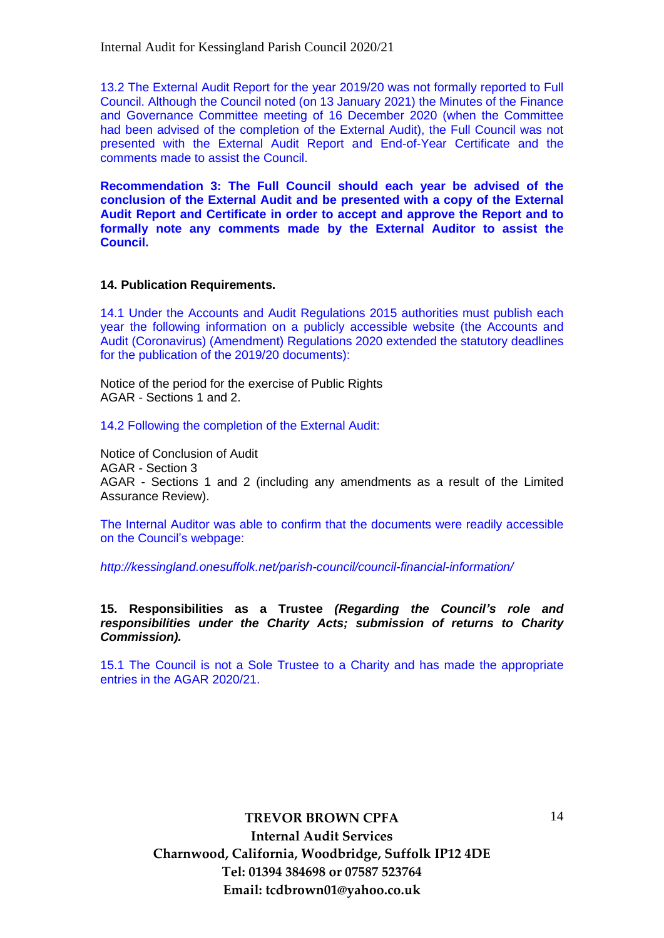13.2 The External Audit Report for the year 2019/20 was not formally reported to Full Council. Although the Council noted (on 13 January 2021) the Minutes of the Finance and Governance Committee meeting of 16 December 2020 (when the Committee had been advised of the completion of the External Audit), the Full Council was not presented with the External Audit Report and End-of-Year Certificate and the comments made to assist the Council.

**Recommendation 3: The Full Council should each year be advised of the conclusion of the External Audit and be presented with a copy of the External Audit Report and Certificate in order to accept and approve the Report and to formally note any comments made by the External Auditor to assist the Council.**

#### **14. Publication Requirements.**

14.1 Under the Accounts and Audit Regulations 2015 authorities must publish each year the following information on a publicly accessible website (the Accounts and Audit (Coronavirus) (Amendment) Regulations 2020 extended the statutory deadlines for the publication of the 2019/20 documents):

Notice of the period for the exercise of Public Rights AGAR - Sections 1 and 2.

14.2 Following the completion of the External Audit:

Notice of Conclusion of Audit AGAR - Section 3 AGAR - Sections 1 and 2 (including any amendments as a result of the Limited Assurance Review).

The Internal Auditor was able to confirm that the documents were readily accessible on the Council's webpage:

*http://kessingland.onesuffolk.net/parish-council/council-financial-information/*

**15. Responsibilities as a Trustee** *(Regarding the Council's role and responsibilities under the Charity Acts; submission of returns to Charity Commission).*

15.1 The Council is not a Sole Trustee to a Charity and has made the appropriate entries in the AGAR 2020/21.